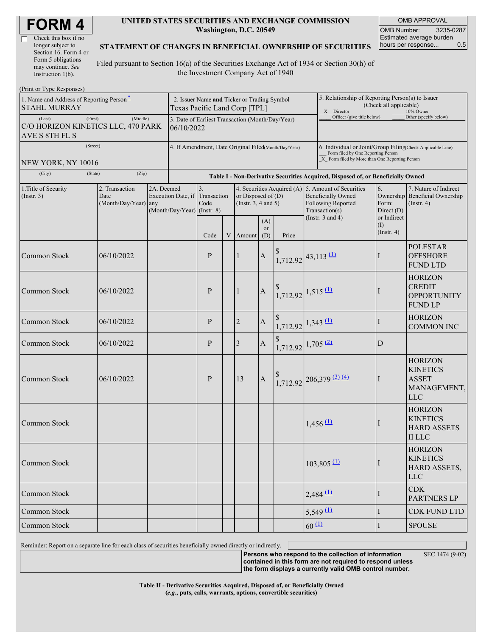| <b>FORM4</b> |  |
|--------------|--|
|--------------|--|

| Check this box if no  |  |
|-----------------------|--|
| longer subject to     |  |
| Section 16. Form 4 or |  |
| Form 5 obligations    |  |
| may continue. See     |  |
| Instruction 1(b).     |  |

#### **UNITED STATES SECURITIES AND EXCHANGE COMMISSION Washington, D.C. 20549**

OMB APPROVAL OMB Number: 3235-0287 Estimated average burden hours per response... 0.5

#### **STATEMENT OF CHANGES IN BENEFICIAL OWNERSHIP OF SECURITIES**

Filed pursuant to Section 16(a) of the Securities Exchange Act of 1934 or Section 30(h) of the Investment Company Act of 1940

| (Print or Type Responses)                                                   |                                                                                              |            |                               |                                              |                                                                                  |                                                  |                                                      |                                                                                                                                                    |               |                                                                                                                                                         |                                            |                                                                                |  |  |
|-----------------------------------------------------------------------------|----------------------------------------------------------------------------------------------|------------|-------------------------------|----------------------------------------------|----------------------------------------------------------------------------------|--------------------------------------------------|------------------------------------------------------|----------------------------------------------------------------------------------------------------------------------------------------------------|---------------|---------------------------------------------------------------------------------------------------------------------------------------------------------|--------------------------------------------|--------------------------------------------------------------------------------|--|--|
| 1. Name and Address of Reporting Person <sup>*</sup><br><b>STAHL MURRAY</b> |                                                                                              |            | Texas Pacific Land Corp [TPL] | 2. Issuer Name and Ticker or Trading Symbol  |                                                                                  |                                                  |                                                      |                                                                                                                                                    |               | 5. Relationship of Reporting Person(s) to Issuer<br>(Check all applicable)<br>X Director<br>10% Owner                                                   |                                            |                                                                                |  |  |
| (First)<br>(Last)<br>C/O HORIZON KINETICS LLC, 470 PARK<br>AVE S 8TH FL S   | Officer (give title below)<br>3. Date of Earliest Transaction (Month/Day/Year)<br>06/10/2022 |            |                               |                                              |                                                                                  |                                                  |                                                      |                                                                                                                                                    |               | Other (specify below)                                                                                                                                   |                                            |                                                                                |  |  |
| (Street)<br>NEW YORK, NY 10016                                              |                                                                                              |            |                               |                                              |                                                                                  |                                                  | 4. If Amendment, Date Original Filed(Month/Day/Year) | 6. Individual or Joint/Group Filing(Check Applicable Line)<br>Form filed by One Reporting Person<br>X Form filed by More than One Reporting Person |               |                                                                                                                                                         |                                            |                                                                                |  |  |
| (City)                                                                      | (Zip)<br>(State)                                                                             |            |                               |                                              | Table I - Non-Derivative Securities Acquired, Disposed of, or Beneficially Owned |                                                  |                                                      |                                                                                                                                                    |               |                                                                                                                                                         |                                            |                                                                                |  |  |
| 1. Title of Security<br>(Insert. 3)                                         | 2. Transaction<br>Date<br>(Month/Day/Year) any                                               | 2A. Deemed | (Month/Day/Year) (Instr. 8)   | 3.<br>Execution Date, if Transaction<br>Code |                                                                                  | or Disposed of $(D)$<br>(Instr. $3, 4$ and $5$ ) | (A)                                                  |                                                                                                                                                    |               | 4. Securities Acquired (A) 5. Amount of Securities<br><b>Beneficially Owned</b><br><b>Following Reported</b><br>Transaction(s)<br>(Instr. $3$ and $4$ ) | 6.<br>Form:<br>Direct $(D)$<br>or Indirect | 7. Nature of Indirect<br>Ownership Beneficial Ownership<br>$($ Instr. 4 $)$    |  |  |
|                                                                             |                                                                                              |            |                               | Code                                         | V                                                                                | Amount                                           | <b>or</b><br>(D)                                     | Price                                                                                                                                              |               |                                                                                                                                                         | $($ I)<br>$($ Instr. 4 $)$                 |                                                                                |  |  |
| <b>Common Stock</b>                                                         | 06/10/2022                                                                                   |            |                               | P                                            |                                                                                  | 1                                                | $\mathbf{A}$                                         | $1,712.92$ 43,113 (1)                                                                                                                              |               |                                                                                                                                                         | $\mathbf{I}$                               | <b>POLESTAR</b><br><b>OFFSHORE</b><br><b>FUND LTD</b>                          |  |  |
| <b>Common Stock</b>                                                         | 06/10/2022                                                                                   |            |                               |                                              |                                                                                  | 1                                                | $\mathbf{A}$                                         | $\begin{array}{c} \text{8} \\ 1,712.92 \end{array}$ 1,515 (1)                                                                                      |               |                                                                                                                                                         |                                            | <b>HORIZON</b><br><b>CREDIT</b><br><b>OPPORTUNITY</b><br><b>FUND LP</b>        |  |  |
| Common Stock                                                                | 06/10/2022                                                                                   |            |                               | P                                            |                                                                                  | 2                                                | $\mathbf{A}$                                         | $1,712.92$ 1,343 (1)                                                                                                                               |               |                                                                                                                                                         | I                                          | <b>HORIZON</b><br><b>COMMON INC</b>                                            |  |  |
| <b>Common Stock</b>                                                         | 06/10/2022                                                                                   |            | P                             |                                              |                                                                                  | 3                                                | $\boldsymbol{A}$                                     | $1,712.92$ 1,705 (2)                                                                                                                               |               |                                                                                                                                                         | D                                          |                                                                                |  |  |
| Common Stock                                                                | 06/10/2022                                                                                   |            |                               | P                                            |                                                                                  | 13                                               | $\mathbf{A}$                                         |                                                                                                                                                    |               | $1,712.92$ $206,379$ $(3)$ $(4)$                                                                                                                        | $\mathbf{I}$                               | <b>HORIZON</b><br><b>KINETICS</b><br><b>ASSET</b><br>MANAGEMENT,<br><b>LLC</b> |  |  |
| Common Stock                                                                |                                                                                              |            |                               |                                              |                                                                                  |                                                  |                                                      |                                                                                                                                                    | $1,456 \, 11$ |                                                                                                                                                         | I                                          | <b>HORIZON</b><br><b>KINETICS</b><br><b>HARD ASSETS</b><br><b>II LLC</b>       |  |  |
| Common Stock                                                                |                                                                                              |            |                               |                                              |                                                                                  |                                                  |                                                      |                                                                                                                                                    |               | $103,805$ <sup>(1)</sup>                                                                                                                                |                                            | <b>HORIZON</b><br><b>KINETICS</b><br>HARD ASSETS,<br><b>LLC</b>                |  |  |
| Common Stock                                                                |                                                                                              |            |                               |                                              |                                                                                  |                                                  |                                                      |                                                                                                                                                    | $2,484$ $(1)$ |                                                                                                                                                         |                                            | <b>CDK</b><br><b>PARTNERS LP</b>                                               |  |  |
| Common Stock                                                                |                                                                                              |            |                               |                                              |                                                                                  |                                                  |                                                      |                                                                                                                                                    | $5,549$ $(1)$ |                                                                                                                                                         | L                                          | CDK FUND LTD                                                                   |  |  |
| Common Stock                                                                |                                                                                              |            |                               |                                              |                                                                                  |                                                  |                                                      |                                                                                                                                                    | $60 \Omega$   |                                                                                                                                                         | $\mathbf I$                                | <b>SPOUSE</b>                                                                  |  |  |

Reminder: Report on a separate line for each class of securities beneficially owned directly or indirectly.

SEC 1474 (9-02)

**Persons who respond to the collection of information contained in this form are not required to respond unless the form displays a currently valid OMB control number.**

**Table II - Derivative Securities Acquired, Disposed of, or Beneficially Owned (***e.g.***, puts, calls, warrants, options, convertible securities)**